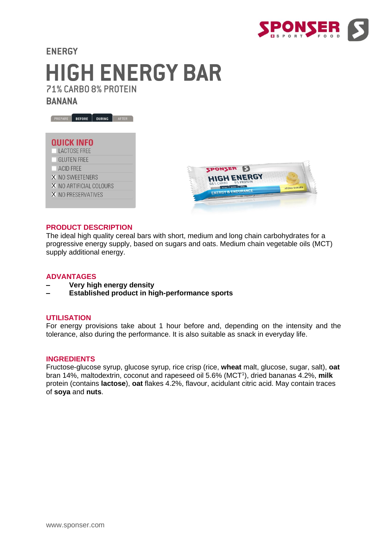

# **ENERGY HIGH ENERGY BAR** 71% CARBO 8% PROTEIN

**BANANA** 



# **QUICK INFO**

- LACTOSE FREE
- **GLUTEN FREE**
- ACID FREE
- X NO SWEETENERS
- X NO ARTIFICIAL COLOURS
- X NO PRESERVATIVES



#### **PRODUCT DESCRIPTION**

The ideal high quality cereal bars with short, medium and long chain carbohydrates for a progressive energy supply, based on sugars and oats. Medium chain vegetable oils (MCT) supply additional energy.

#### **ADVANTAGES**

- **– Very high energy density**
- **– Established product in high-performance sports**

### **UTILISATION**

For energy provisions take about 1 hour before and, depending on the intensity and the tolerance, also during the performance. It is also suitable as snack in everyday life.

#### **INGREDIENTS**

Fructose-glucose syrup, glucose syrup, rice crisp (rice, **wheat** malt, glucose, sugar, salt), **oat**  bran 14%, maltodextrin, coconut and rapeseed oil 5.6% (MCT<sup>1</sup>), dried bananas 4.2%, milk protein (contains **lactose**), **oat** flakes 4.2%, flavour, acidulant citric acid. May contain traces of **soya** and **nuts**.